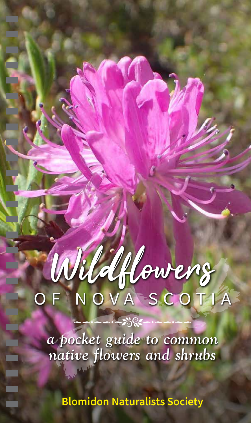# OF NOVA SCOTIA Wildflowers

*a pocket guide to common native flowers and shrubs*

 $-280$ 

**Blomidon Naturalists Society**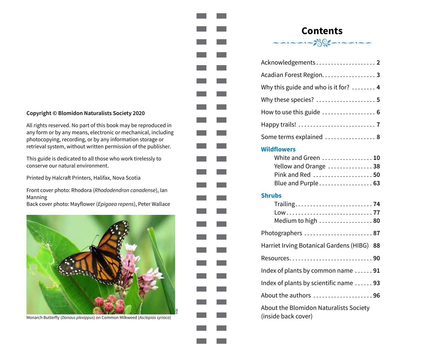#### **Copyright © Blomidon Naturalists Society 2020**

All rights reserved. No part of this book may be reproduced in any form or by any means, electronic or mechanical, including photocopying, recording, or by any information storage or retrieval system, without written permission of the publisher.

This guide is dedicated to all those who work tirelessly to conserve our natural environment.

Printed by Halcraft Printers, Halifax, Nova Scotia

Front cover photo: Rhodora (*Rhododendron canadense*), Ian Manning

Back cover photo: Mayflower (*Epigaea repens*), Peter Wallace



Monarch Butterfly (*Danaus plexippus*) on Common Milkweed (*Asclepias syriaca*)

# **Contents**<br>محتصد معارض محتصد مح

| Acknowledgements 2                              |
|-------------------------------------------------|
| Acadian Forest Region. 3                        |
| Why this guide and who is it for? $\dots \dots$ |
| Why these species?  5                           |
|                                                 |
|                                                 |
| Some terms explained  8                         |

#### **Wildflowers**

. .

| White and Green  10                           |  |
|-----------------------------------------------|--|
| Yellow and Orange 38                          |  |
| Pink and Red $\dots\dots\dots\dots\dots\dots$ |  |
| Blue and Purple 63                            |  |

#### **Shrubs**

| Low77<br>Medium to high $\ldots \ldots \ldots \ldots \ldots$ . 80 |
|-------------------------------------------------------------------|
| Photographers $\dots\dots\dots\dots\dots\dots\dots$ 87            |
| Harriet Irving Botanical Gardens (HIBG)<br>-88                    |
|                                                                   |
| Index of plants by common name $\dots \dots$ 91                   |
| Index of plants by scientific name $\ldots$ 93                    |
| About the authors 96                                              |
| About the Blomidon Naturalists Society                            |

(inside back cover)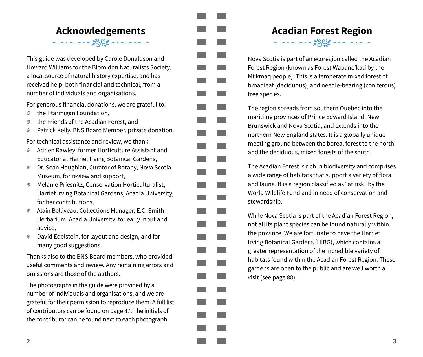### <span id="page-2-0"></span>**Acknowledgements**  $\frac{1}{\sqrt{2}}\left(\frac{1}{\sqrt{2}}\right)^{1/2}=\frac{1}{\sqrt{2}}\left(\frac{1}{\sqrt{2}}\right)^{1/2}=\frac{1}{\sqrt{2}}\left(\frac{1}{\sqrt{2}}\right)^{1/2}=\frac{1}{\sqrt{2}}\left(\frac{1}{\sqrt{2}}\right)^{1/2}=\frac{1}{\sqrt{2}}\left(\frac{1}{\sqrt{2}}\right)^{1/2}=\frac{1}{\sqrt{2}}\left(\frac{1}{\sqrt{2}}\right)^{1/2}=\frac{1}{\sqrt{2}}\left(\frac{1}{\sqrt{2}}\right)^{1/2}=\frac{1}{\sqrt{2}}$

This guide was developed by Carole Donaldson and Howard Williams for the Blomidon Naturalists Society, a local source of natural history expertise, and has received help, both financial and technical, from a number of individuals and organisations.

For generous financial donations, we are grateful to:

- **the Ptarmigan Foundation,**
- **the Friends of the Acadian Forest, and**
- **B** Patrick Kelly, BNS Board Member, private donation.

For technical assistance and review, we thank:

- **Adrien Rawley, former Horticulture Assistant and** Educator at Harriet Irving Botanical Gardens,
- **Dr. Sean Haughian, Curator of Botany, Nova Scotia** Museum, for review and support,
- **Melanie Priesnitz, Conservation Horticulturalist,** Harriet Irving Botanical Gardens, Acadia University, for her contributions,
- **Alain Belliveau, Collections Manager, E.C. Smith** Herbarium, Acadia University, for early input and advice,
- **David Edelstein, for layout and design, and for** many good suggestions.

Thanks also to the BNS Board members, who provided useful comments and review. Any remaining errors and omissions are those of the authors.

The photographs in the guide were provided by a number of individuals and organisations, and we are grateful for their permission to reproduce them. A full list of contributors can be found on page [87.](#page--1-7) The initials of the contributor can be found next to each photograph.

# <span id="page-2-1"></span>**Acadian Forest Region**



Nova Scotia is part of an ecoregion called the Acadian Forest Region (known as Forest Wapane'kati by the Mi'kmaq people). This is a temperate mixed forest of broadleaf (deciduous), and needle-bearing (coniferous) tree species.

The region spreads from southern Quebec into the maritime provinces of Prince Edward Island, New Brunswick and Nova Scotia, and extends into the northern New England states. It is a globally unique meeting ground between the boreal forest to the north and the deciduous, mixed forests of the south.

The Acadian Forest is rich in biodiversity and comprises a wide range of habitats that support a variety of flora and fauna. It is a region classified as "at risk" by the World Wildlife Fund and in need of conservation and stewardship.

**College** 

While Nova Scotia is part of the Acadian Forest Region, not all its plant species can be found naturally within the province. We are fortunate to have the Harriet Irving Botanical Gardens (HIBG), which contains a greater representation of the incredible variety of habitats found within the Acadian Forest Region. These gardens are open to the public and are well worth a visit (see page [88](#page-11-0)).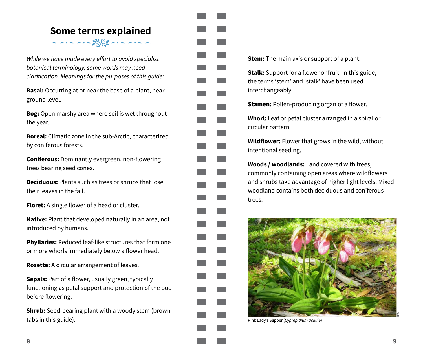### <span id="page-3-0"></span>**Some terms explained**  $\frac{1}{\sqrt{2}}\left(\frac{1}{\sqrt{2}}\right)^{1/2}$

While we have made every effort to avoid specialist *botanical terminology, some words may need*  clarification. Meanings for the purposes of this guide:

**Basal:** Occurring at or near the base of a plant, near ground level.

**Bog:** Open marshy area where soil is wet throughout the year.

**Boreal:** Climatic zone in the sub-Arctic, characterized by coniferous forests.

**Coniferous:** Dominantly evergreen, non-flowering trees bearing seed cones.

**Deciduous:** Plants such as trees or shrubs that lose their leaves in the fall.

**Floret:** A single flower of a head or cluster.

**Native:** Plant that developed naturally in an area, not introduced by humans.

**Phyllaries:** Reduced leaf-like structures that form one or more whorls immediately below a flower head.

**Rosette:** A circular arrangement of leaves.

**Sepals:** Part of a flower, usually green, typically functioning as petal support and protection of the bud before flowering.

**Shrub:** Seed-bearing plant with a woody stem (brown) tabs in this guide).



**Stem:** The main axis or support of a plant.

**Stalk:** Support for a flower or fruit. In this guide, the terms 'stem' and 'stalk' have been used interchangeably.

**Stamen:** Pollen-producing organ of a flower.

**Whorl:** Leaf or petal cluster arranged in a spiral or circular pattern.

**Wildflower:** Flower that grows in the wild, without intentional seeding.

**Woods / woodlands:** Land covered with trees, commonly containing open areas where wildflowers and shrubs take advantage of higher light levels. Mixed woodland contains both deciduous and coniferous trees.



Pink Lady's Slipper (*Cyprepidium acaule*)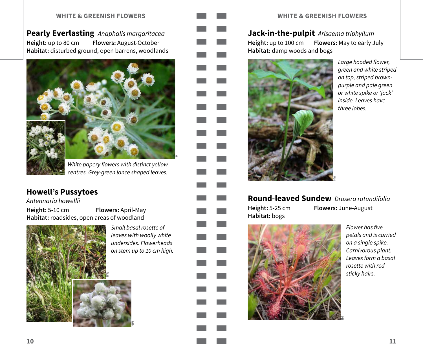<span id="page-4-0"></span>**Pearly Everlasting** *Anaphalis margaritacea* **Height:** up to 80 cm **Flowers:** August-October **Habitat:** disturbed ground, open barrens, woodlands



White papery flowers with distinct yellow centres. Grey-green lance shaped leaves.

### **Howell's Pussytoes**

**IM**

*Antennaria howellii*

**Height:** 5-10 cm **Flowers:** April-May **Habitat:** roadsides, open areas of woodland



Small basal rosette of *leaves with woolly white*  undersides. Flowerheads on stem up to 10 cm high.

**HW**



§

#### **WHITE & GREENISH FLOWERS WHITE & GREENISH FLOWERS**

**Jack-in-the-pulpit** *Arisaema triphyllum* **Height:** up to 100 cm **Flowers:** May to early July **Habitat:** damp woods and bogs



Large hooded flower, *green and white striped*  on top, striped brown*purple and pale green or white spike or 'jack'*  inside. Leaves have three lobes.

**Round-leaved Sundew** Drosera rotundifolia **Height:** 5-25 cm **Flowers:** June-August **Habitat:** bogs



Flower has five *petals and is carried*  on a single spike. Carnivorous plant. Leaves form a basal *rosette with red*  sticky hairs.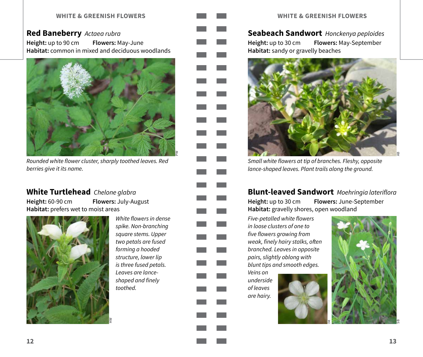#### **Red Baneberry** *Actaea rubra*

**Height:** up to 90 cm **Flowers:** May-June **Habitat:** common in mixed and deciduous woodlands



Rounded white flower cluster, sharply toothed leaves. Red berries give it its name.

#### **White Turtlehead** *Chelone glabra*

**Height:** 60-90 cm **Flowers:** July-August **Habitat:** prefers wet to moist areas



White flowers in dense spike. Non-branching square stems. Upper two petals are fused forming a hooded *structure, lower lip*  is three fused petals. Leaves are lanceshaped and finely toothed.

<u>হ</u>



#### **Seabeach Sandwort** *Honckenya peploides*

**Height:** up to 30 cm **Flowers:** May-September **Habitat:** sandy or gravelly beaches



Small white flowers at tip of branches. Fleshy, opposite lance-shaped leaves. Plant trails along the ground.

#### **Blunt-leaved Sandwort** Moehringia lateriflora

**Height:** up to 30 cm **Flowers:** June-September **Habitat:** gravelly shores, open woodland

Five-petalled white flowers in loose clusters of one to five flowers growing from weak, finely hairy stalks, often branched. Leaves in opposite *pairs, slightly oblong with*  blunt tips and smooth edges.

*Veins on underside*  of leaves are hairy.



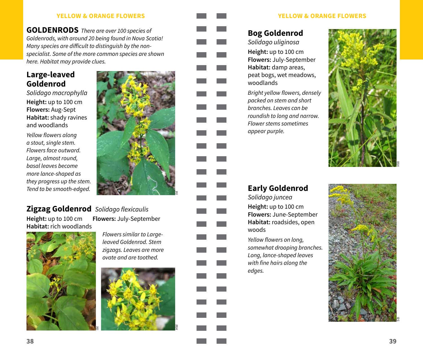**GOLDENRODS** There are over 100 species of Goldenrods, with around 20 being found in Nova Scotia! Many species are difficult to distinguish by the nonspecialist. Some of the more common species are shown here. Habitat may provide clues.

#### <span id="page-6-0"></span>**Large-leaved Goldenrod**

*Solidago macrophylla* **Height:** up to 100 cm **Flowers:** Aug-Sept **Habitat:** shady ravines and woodlands

Yellow flowers along a stout, single stem. Flowers face outward. *Large, almost round, basal leaves become*  more lance-shaped as they progress up the stem. Tend to be smooth-edged.



#### **Zigzag Goldenrod** Solidago flexicaulis

**Habitat:** rich woodlands

**Height:** up to 100 cm **Flowers:** July-September



Flowers similar to Largeleaved Goldenrod. Stem zigzags. Leaves are more ovate and are toothed.



#### **YELLOW & ORANGE FLOWERS YELLOW & ORANGE FLOWERS**

### **Bog Goldenrod**

*Solidago uliginosa* **Height:** up to 100 cm **Flowers:** July-September **Habitat:** damp areas, peat bogs, wet meadows, woodlands

Bright yellow flowers, densely *packed on stem and short*  branches. Leaves can be roundish to long and narrow. Flower stems sometimes appear purple.



## **Early Goldenrod**

*Solidago juncea* **Height:** up to 100 cm **Flowers:** June-September **Habitat:** roadsides, open woods

Yellow flowers on long, somewhat drooping branches. Long, lance-shaped leaves with fine hairs along the edges.

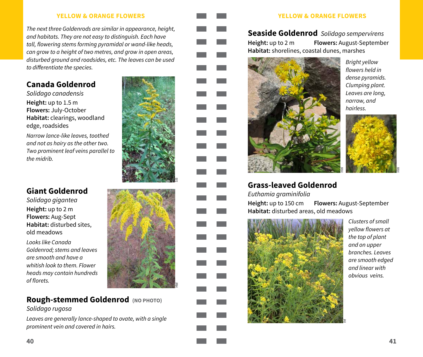The next three Goldenrods are similar in appearance, height, and habitats. They are not easy to distinguish. Each have tall, flowering stems forming pyramidal or wand-like heads, can grow to a height of two metres, and grow in open areas, disturbed ground and roadsides, etc. The leaves can be used to differentiate the species.

### **Canada Goldenrod**

*Solidago canadensis* **Height:** up to 1.5 m **Flowers:** July-October **Habitat:** clearings, woodland edge, roadsides

Narrow lance-like leaves, toothed and not as hairy as the other two. Two prominent leaf veins parallel to the midrib.

### **Giant Goldenrod**

*Solidago gigantea* **Height:** up to 2 m **Flowers:** Aug-Sept **Habitat:** disturbed sites, old meadows

*Looks like Canada*  Goldenrod; stems and leaves *are smooth and have a*  whitish look to them. Flower *heads may contain hundreds*  of florets.



#### **Rough-stemmed Goldenrod (NO PHOTO)** *Solidago rugosa*

Leaves are generally lance-shaped to ovate, with a single prominent vein and covered in hairs.



#### **Seaside Goldenrod** *Solidago sempervirens* **Height:** up to 2 m **Flowers:** August-September **Habitat:** shorelines, coastal dunes, marshes



Bright yellow flowers held in dense pyramids. Clumping plant. *Leaves are long, narrow, and*  hairless.



#### **Grass-leaved Goldenrod**

Euthamia graminifolia

**Height:** up to 150 cm **Flowers:** August-September **Habitat:** disturbed areas, old meadows



Clusters of small yellow flowers at the top of plant *and on upper*  branches. Leaves *are smooth edged and linear with*  obvious veins.

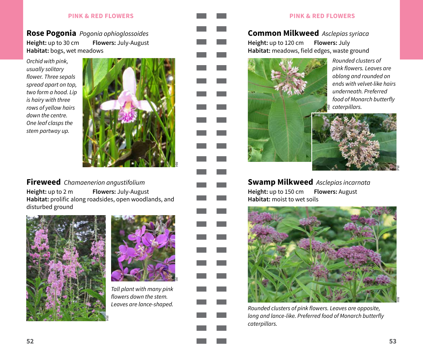#### **Rose Pogonia** Pogonia ophioglossoides **Height:** up to 30 cm **Flowers:** July-August **Habitat:** bogs, wet meadows

*Orchid with pink, usually solitary*  flower. Three sepals *spread apart on top,*  two form a hood. Lip *is hairy with three*  rows of yellow hairs down the centre. One leaf clasps the stem partway up.



**Fireweed** Chamaenerion angustifolium

**Height:** up to 2 m **Flowers:** July-August **Habitat:** prolific along roadsides, open woodlands, and disturbed ground





Tall plant with many pink flowers down the stem. Leaves are lance-shaped.



#### **Common Milkweed** *Asclepias syriaca* **Height:** up to 120 cm **Flowers:** July **Habitat:** meadows, field edges, waste ground



Rounded clusters of pink flowers. Leaves are *oblong and rounded on*  ends with velvet-like hairs underneath. Preferred food of Monarch butterfly caterpillars.



**HW**

**Swamp Milkweed** *Asclepias incarnata* **Height:** up to 150 cm **Flowers:** August **Habitat:** moist to wet soils



Rounded clusters of pink flowers. Leaves are opposite, long and lance-like. Preferred food of Monarch butterfly caterpillars.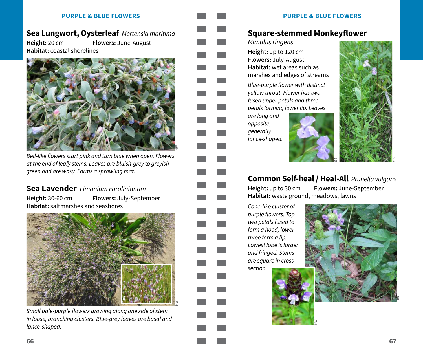### **Sea Lungwort, Oysterleaf** Mertensia maritima

**Height:** 20 cm **Flowers:** June-August **Habitat:** coastal shorelines



Bell-like flowers start pink and turn blue when open. Flowers at the end of leafy stems. Leaves are bluish-grey to greyishgreen and are waxy. Forms a sprawling mat.

#### **Sea Lavender** *Limonium carolinianum*

**Height:** 30-60 cm **Flowers:** July-September **Habitat:** saltmarshes and seashores



Small pale-purple flowers growing along one side of stem in loose, branching clusters. Blue-grey leaves are basal and lance-shaped.

#### **PURPLE & BLUE FLOWERS PURPLE & BLUE FLOWERS**

#### **Square-stemmed Monkeyflower**

Mimulus ringens **Height:** up to 120 cm **Flowers:** July-August **Habitat:** wet areas such as marshes and edges of streams

Blue-purple flower with distinct yellow throat. Flower has two fused upper petals and three petals forming lower lip. Leaves

*are long and opposite, generally*  lance-shaped.





#### **Common Self-heal / Heal-All** Prunella vulgaris

**Height:** up to 30 cm **Flowers:** June-September **Habitat:** waste ground, meadows, lawns

**HW**

Cone-like cluster of purple flowers. Top two petals fused to form a hood, lower three form a lip. *Lowest lobe is larger*  and fringed. Stems are square in crosssection.

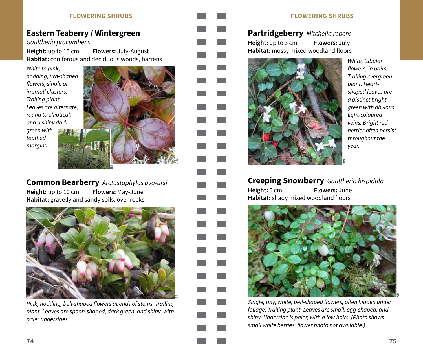#### **FLOWERING SHRUBS FLOWERING SHRUBS**

#### <span id="page-10-0"></span>**Eastern Teaberry / Wintergreen**

Gaultheria procumbens

**Height:** up to 15 cm **Flowers:** July-August **Habitat:** coniferous and deciduous woods, barrens

*White to pink,*  nodding, urn-shaped flowers, single or in small clusters. Trailing plant. *Leaves are alternate, round to elliptical, and a shiny dark* 





**Common Bearberry** Arctostaphylos uva-ursi **Height:** up to 10 cm **Flowers:** May-June **Habitat:** gravelly and sandy soils, over rocks

§



Pink, nodding, bell-shaped flowers at ends of stems. Trailing plant. Leaves are spoon-shaped, dark green, and shiny, with paler undersides.

**Partridgeberry** Mitchella repens **Height:** up to 3 cm **Flowers:** July **Habitat:** mossy mixed woodland floors



*White, tubular*  flowers, in pairs. Trailing evergreen plant. Heart*shaped leaves are a distinct bright green with obvious*  light-coloured veins. Bright red berries often persist *throughout the*  year.

**Creeping Snowberry** Gaultheria hispidula **Height:** 5 cm **Flowers:** June **Habitat:** shady mixed woodland floors



Single, tiny, white, bell-shaped flowers, often hidden under foliage. Trailing plant. Leaves are small, egg-shaped, and shiny. Underside is paler, with a few hairs. (Photo shows small white berries, flower photo not available.)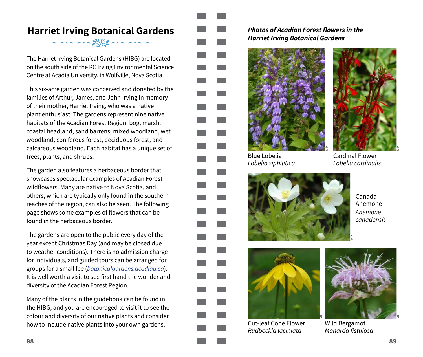### <span id="page-11-0"></span>**Harriet Irving Botanical Gardens**  $\begin{picture}(180,10) \put(0,0){\vector(1,0){10}} \put(10,0){\vector(1,0){10}} \put(10,0){\vector(1,0){10}} \put(10,0){\vector(1,0){10}} \put(10,0){\vector(1,0){10}} \put(10,0){\vector(1,0){10}} \put(10,0){\vector(1,0){10}} \put(10,0){\vector(1,0){10}} \put(10,0){\vector(1,0){10}} \put(10,0){\vector(1,0){10}} \put(10,0){\vector(1,0){10}} \put(10,0){\vector($

The Harriet Irving Botanical Gardens (HIBG) are located on the south side of the KC Irving Environmental Science Centre at Acadia University, in Wolfville, Nova Scotia.

This six-acre garden was conceived and donated by the families of Arthur, James, and John Irving in memory of their mother, Harriet Irving, who was a native plant enthusiast. The gardens represent nine native habitats of the Acadian Forest Region: bog, marsh, coastal headland, sand barrens, mixed woodland, wet woodland, coniferous forest, deciduous forest, and calcareous woodland. Each habitat has a unique set of trees, plants, and shrubs.

The garden also features a herbaceous border that showcases spectacular examples of Acadian Forest wildflowers. Many are native to Nova Scotia, and others, which are typically only found in the southern reaches of the region, can also be seen. The following page shows some examples of flowers that can be found in the herbaceous border.

The gardens are open to the public every day of the year except Christmas Day (and may be closed due to weather conditions). There is no admission charge for individuals, and guided tours can be arranged for groups for a small fee (botanicalgardens.acadiau.ca). It is well worth a visit to see first hand the wonder and diversity of the Acadian Forest Region.

Many of the plants in the guidebook can be found in the HIBG, and you are encouraged to visit it to see the colour and diversity of our native plants and consider how to include native plants into your own gardens.

**Photos of Acadian Forest flowers in the Harriet Irving Botanical Gardens**



Blue Lobelia *Lobelia siphilitica*



Cardinal Flower *Lobelia cardinalis*



Canada Anemone *Anemone canadensis*



Cut-leaf Cone Flower *Rudbeckia laciniata*



Wild Bergamot Monarda fistulosa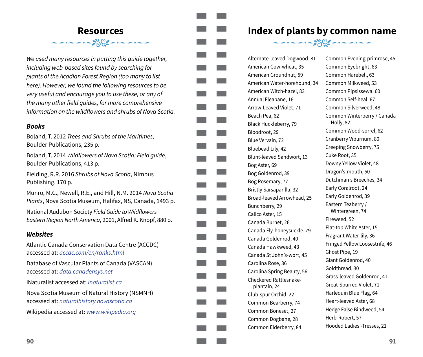### <span id="page-12-0"></span>**Resources**  $\frac{1}{\sqrt{2}}\left(\frac{1}{\sqrt{2}}\right)^{1/2}$

*We used many resources in putting this guide together,*  including web-based sites found by searching for plants of the Acadian Forest Region (too many to list here). However, we found the following resources to be very useful and encourage you to use these, or any of the many other field guides, for more comprehensive information on the wildflowers and shrubs of Nova Scotia.

#### **Books**

Boland, T. 2012 Trees and Shrubs of the Maritimes, Boulder Publications, 235 p.

Boland, T. 2014 Wildflowers of Nova Scotia: Field guide, Boulder Publications, 413 p.

Fielding, R.R. 2016 Shrubs of Nova Scotia, Nimbus Publishing, 170 p.

Munro, M.C., Newell, R.E., and Hill, N.M. 2014 Nova Scotia Plants, Nova Scotia Museum, Halifax, NS, Canada, 1493 p.

National Audubon Society Field Guide to Wildflowers Eastern Region North America, 2001, Alfred K. Knopf, 880 p.

#### **Websites**

Atlantic Canada Conservation Data Centre (ACCDC) accessed at: accdc.com/en/ranks.html

Database of Vascular Plants of Canada (VASCAN) accessed at: data.canadensys.net

 $i$ Naturalist accessed at: *ingturalist.ca* 

Nova Scotia Museum of Natural History (NSMNH) accessed at: naturalhistory.novascotia.ca

Wikipedia accessed at: www.wikipedia.org

#### <span id="page-12-1"></span>**Index of plants by common name**  $\begin{picture}(180,10) \put(0,0){\vector(1,0){10}} \put(10,0){\vector(1,0){10}} \put(10,0){\vector(1,0){10}} \put(10,0){\vector(1,0){10}} \put(10,0){\vector(1,0){10}} \put(10,0){\vector(1,0){10}} \put(10,0){\vector(1,0){10}} \put(10,0){\vector(1,0){10}} \put(10,0){\vector(1,0){10}} \put(10,0){\vector(1,0){10}} \put(10,0){\vector(1,0){10}} \put(10,0){\vector($

Alternate-leaved Dogwood, 81 American Cow-wheat, 35 American Groundnut, 59 American Water-horehound, 34 American Witch-hazel, 83 Annual Fleabane, 16 Arrow-Leaved Violet, 71 Beach Pea, 62 Black Huckleberry, 79 Bloodroot, 29 Blue Vervain, 72 Bluebead Lily, 42 Blunt-leaved Sandwort, 13 Bog Aster, 69 Bog Goldenrod, 39 Bog Rosemary, 77 Bristly Sarsaparilla, 32 Broad-leaved Arrowhead, 25 Bunchberry, 29 Calico Aster, 15 Canada Burnet, 26 Canada Fly-honeysuckle, 79 Canada Goldenrod, 40 Canada Hawkweed, 43 Canada St John's-wort, 45 Carolina Rose, 86 Carolina Spring Beauty, 56 Checkered Rattlesnakeplantain, 24 Club-spur Orchid, 22 Common Bearberry, 74 Common Boneset, 27 Common Dogbane, 28 Common Elderberry, 84

Common Evening-primrose, 45 Common Eyebright, 63 Common Harebell, 63 Common Milkweed, 53 Common Pipsissewa, 60 Common Self-heal, 67 Common Silverweed, 48 Common Winterberry / Canada Holly, 82 Common Wood-sorrel, 62 Cranberry Viburnum, 80 Creeping Snowberry, 75 Cuke Root, 35 Downy Yellow Violet, 48 Dragon's-mouth, 50 Dutchman's Breeches, 34 Early Coralroot, 24 Early Goldenrod, 39 Eastern Teaberry / Wintergreen, 74 Fireweed, 52 Flat-top White Aster, 15 Fragrant Water-lily, 36 Fringed Yellow Loosestrife, 46 Ghost Pipe, 19 Giant Goldenrod, 40 Goldthread, 30 Grass-leaved Goldenrod, 41 Great-Spurred Violet, 71 Harlequin Blue Flag, 64 Heart-leaved Aster, 68 Hedge False Bindweed, 54 Herb-Robert, 57 Hooded Ladies'-Tresses, 21